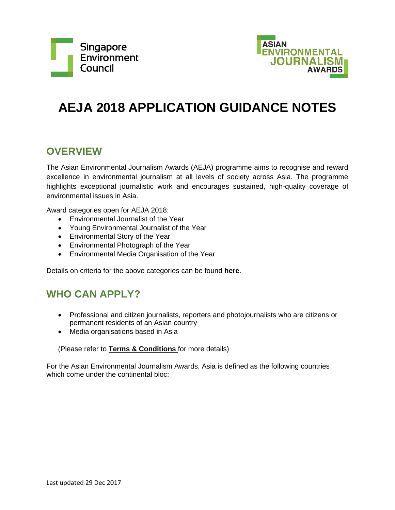



# **AEJA 2018 APPLICATION GUIDANCE NOTES**

## **OVERVIEW**

The Asian Environmental Journalism Awards (AEJA) programme aims to recognise and reward excellence in environmental journalism at all levels of society across Asia. The programme highlights exceptional journalistic work and encourages sustained, high-quality coverage of environmental issues in Asia.

Award categories open for AEJA 2018:

- Environmental Journalist of the Year
- Young Environmental Journalist of the Year
- Environmental Story of the Year
- Environmental Photograph of the Year
- Environmental Media Organisation of the Year

Details on criteria for the above categories can be found **[here](http://www.sec.org.sg/aeja/environmental-journalist-of-the-year.php)**.

## **WHO CAN APPLY?**

- Professional and citizen journalists, reporters and photojournalists who are citizens or permanent residents of an Asian country
- Media organisations based in Asia

### (Please refer to **Terms & Conditions** for more details)

For the Asian Environmental Journalism Awards, Asia is defined as the following countries which come under the continental bloc: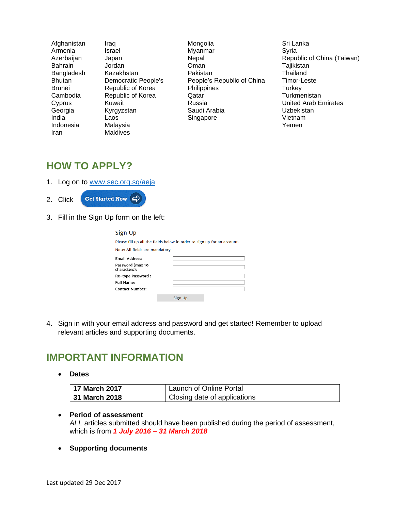| Afghanistan    | Iraq                | Mongolia                   | Sri Lanka                  |
|----------------|---------------------|----------------------------|----------------------------|
| Armenia        | Israel              | Myanmar                    | Syria                      |
| Azerbaijan     | Japan               | Nepal                      | Republic of China (Taiwan) |
| <b>Bahrain</b> | Jordan              | Oman                       | Tajikistan                 |
| Bangladesh     | Kazakhstan          | Pakistan                   | Thailand                   |
| <b>Bhutan</b>  | Democratic People's | People's Republic of China | Timor-Leste                |
| <b>Brunei</b>  | Republic of Korea   | Philippines                | Turkey                     |
| Cambodia       | Republic of Korea   | Qatar                      | Turkmenistan               |
| Cyprus         | Kuwait              | Russia                     | United Arab Emirates       |
| Georgia        | Kyrgyzstan          | Saudi Arabia               | Uzbekistan                 |
| India          | Laos                | Singapore                  | Vietnam                    |
| Indonesia      | Malaysia            |                            | Yemen                      |
| Iran           | <b>Maldives</b>     |                            |                            |

### **HOW TO APPLY?**

1. Log on to [www.sec.org.sg/aeja](http://www.sec.org.sg/aeja)

## 2. Click Get Started Now  $\Rightarrow$

3. Fill in the Sign Up form on the left:

| Sign Up                                                                 |         |  |  |  |
|-------------------------------------------------------------------------|---------|--|--|--|
| Please fill up all the fields below in order to sign up for an account. |         |  |  |  |
| Note: All fields are mandatory.                                         |         |  |  |  |
| <b>Email Address:</b>                                                   |         |  |  |  |
| Password (max 10<br>characters):                                        |         |  |  |  |
| Re-type Password:                                                       |         |  |  |  |
| Full Name:                                                              |         |  |  |  |
| <b>Contact Number:</b>                                                  |         |  |  |  |
|                                                                         | Sign Up |  |  |  |

4. Sign in with your email address and password and get started! Remember to upload relevant articles and supporting documents.

### **IMPORTANT INFORMATION**

**Dates**

| <b>17 March 2017</b> | Launch of Online Portal      |
|----------------------|------------------------------|
| 31 March 2018        | Closing date of applications |

#### **Period of assessment**

*ALL* articles submitted should have been published during the period of assessment, which is from *1 July 2016 – 31 March 2018*

**Supporting documents**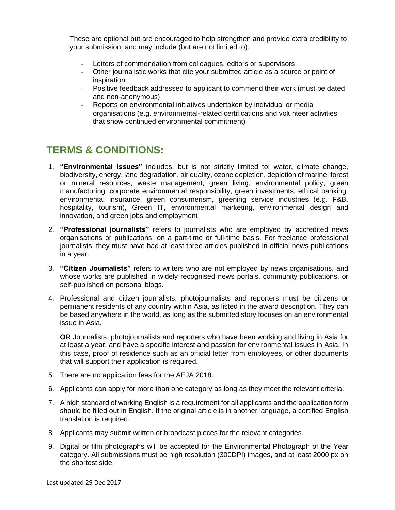These are optional but are encouraged to help strengthen and provide extra credibility to your submission, and may include (but are not limited to):

- Letters of commendation from colleagues, editors or supervisors
- Other journalistic works that cite your submitted article as a source or point of inspiration
- Positive feedback addressed to applicant to commend their work (must be dated and non-anonymous)
- Reports on environmental initiatives undertaken by individual or media organisations (e.g. environmental-related certifications and volunteer activities that show continued environmental commitment)

## **TERMS & CONDITIONS:**

- 1. **"Environmental issues"** includes, but is not strictly limited to: water, climate change, biodiversity, energy, land degradation, air quality, ozone depletion, depletion of marine, forest or mineral resources, waste management, green living, environmental policy, green manufacturing, corporate environmental responsibility, green investments, ethical banking, environmental insurance, green consumerism, greening service industries (e.g. F&B, hospitality, tourism), Green IT, environmental marketing, environmental design and innovation, and green jobs and employment
- 2. **"Professional journalists"** refers to journalists who are employed by accredited news organisations or publications, on a part-time or full-time basis. For freelance professional journalists, they must have had at least three articles published in official news publications in a year.
- 3. **"Citizen Journalists"** refers to writers who are not employed by news organisations, and whose works are published in widely recognised news portals, community publications, or self-published on personal blogs.
- 4. Professional and citizen journalists, photojournalists and reporters must be citizens or permanent residents of any country within Asia, as listed in the award description. They can be based anywhere in the world, as long as the submitted story focuses on an environmental issue in Asia.

**OR** Journalists, photojournalists and reporters who have been working and living in Asia for at least a year, and have a specific interest and passion for environmental issues in Asia. In this case, proof of residence such as an official letter from employees, or other documents that will support their application is required.

- 5. There are no application fees for the AEJA 2018.
- 6. Applicants can apply for more than one category as long as they meet the relevant criteria.
- 7. A high standard of working English is a requirement for all applicants and the application form should be filled out in English. If the original article is in another language, a certified English translation is required.
- 8. Applicants may submit written or broadcast pieces for the relevant categories.
- 9. Digital or film photographs will be accepted for the Environmental Photograph of the Year category. All submissions must be high resolution (300DPI) images, and at least 2000 px on the shortest side.